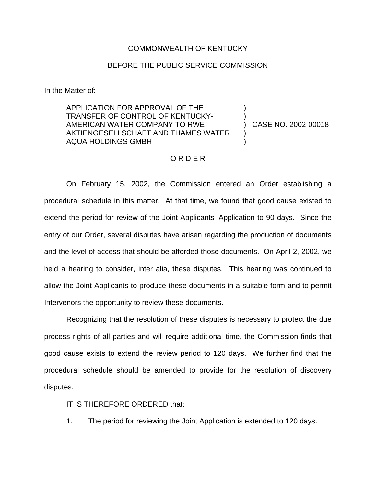#### COMMONWEALTH OF KENTUCKY

### BEFORE THE PUBLIC SERVICE COMMISSION

In the Matter of:

APPLICATION FOR APPROVAL OF THE TRANSFER OF CONTROL OF KENTUCKY-AMERICAN WATER COMPANY TO RWE AKTIENGESELLSCHAFT AND THAMES WATER AQUA HOLDINGS GMBH

) CASE NO. 2002-00018

) )

) )

#### ORDER

On February 15, 2002, the Commission entered an Order establishing a procedural schedule in this matter. At that time, we found that good cause existed to extend the period for review of the Joint Applicants Application to 90 days. Since the entry of our Order, several disputes have arisen regarding the production of documents and the level of access that should be afforded those documents. On April 2, 2002, we held a hearing to consider, inter alia, these disputes. This hearing was continued to allow the Joint Applicants to produce these documents in a suitable form and to permit Intervenors the opportunity to review these documents.

Recognizing that the resolution of these disputes is necessary to protect the due process rights of all parties and will require additional time, the Commission finds that good cause exists to extend the review period to 120 days. We further find that the procedural schedule should be amended to provide for the resolution of discovery disputes.

IT IS THEREFORE ORDERED that:

1. The period for reviewing the Joint Application is extended to 120 days.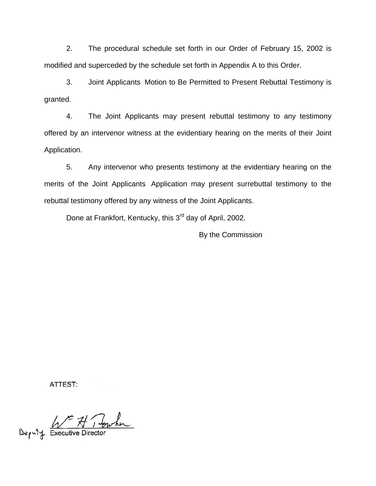2. The procedural schedule set forth in our Order of February 15, 2002 is modified and superceded by the schedule set forth in Appendix A to this Order.

3. Joint Applicants Motion to Be Permitted to Present Rebuttal Testimony is granted.

4. The Joint Applicants may present rebuttal testimony to any testimony offered by an intervenor witness at the evidentiary hearing on the merits of their Joint Application.

5. Any intervenor who presents testimony at the evidentiary hearing on the merits of the Joint Applicants Application may present surrebuttal testimony to the rebuttal testimony offered by any witness of the Joint Applicants.

Done at Frankfort, Kentucky, this 3<sup>rd</sup> day of April, 2002.

By the Commission

ATTEST:

Deputy Executive Director